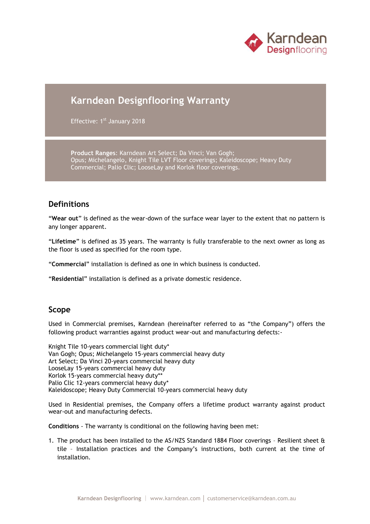

# **Karndean Designflooring Warranty**

Effective: 1<sup>st</sup> January 2018

**Product Ranges**: Karndean Art Select; Da Vinci; Van Gogh; Opus; Michelangelo, Knight Tile LVT Floor coverings; Kaleidoscope; Heavy Duty Commercial; Palio Clic; LooseLay and Korlok floor coverings.

### **Definitions**

"**Wear out**" is defined as the wear-down of the surface wear layer to the extent that no pattern is any longer apparent.

"**Lifetime**" is defined as 35 years. The warranty is fully transferable to the next owner as long as the floor is used as specified for the room type.

"**Commercial**" installation is defined as one in which business is conducted.

"**Residential**" installation is defined as a private domestic residence.

#### **Scope**

Used in Commercial premises, Karndean (hereinafter referred to as "the Company") offers the following product warranties against product wear-out and manufacturing defects:-

Knight Tile 10-years commercial light duty\* Van Gogh; Opus; Michelangelo 15-years commercial heavy duty Art Select; Da Vinci 20-years commercial heavy duty LooseLay 15-years commercial heavy duty Korlok 15-years commercial heavy duty\*\* Palio Clic 12-years commercial heavy duty\* Kaleidoscope; Heavy Duty Commercial 10-years commercial heavy duty

Used in Residential premises, the Company offers a lifetime product warranty against product wear-out and manufacturing defects.

**Conditions** - The warranty is conditional on the following having been met:

1. The product has been installed to the AS/NZS Standard 1884 Floor coverings – Resilient sheet & tile – Installation practices and the Company's instructions, both current at the time of installation.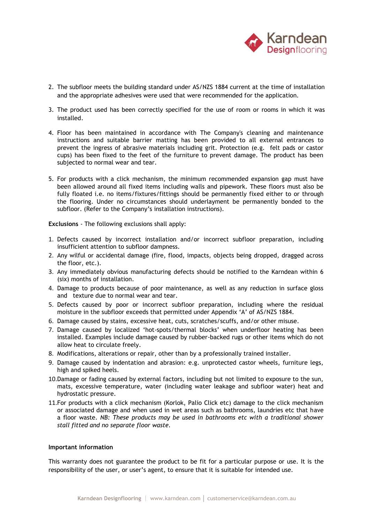

- 2. The subfloor meets the building standard under AS/NZS 1884 current at the time of installation and the appropriate adhesives were used that were recommended for the application.
- 3. The product used has been correctly specified for the use of room or rooms in which it was installed.
- 4. Floor has been maintained in accordance with The Company's cleaning and maintenance instructions and suitable barrier matting has been provided to all external entrances to prevent the ingress of abrasive materials including grit. Protection (e.g. felt pads or castor cups) has been fixed to the feet of the furniture to prevent damage. The product has been subjected to normal wear and tear.
- 5. For products with a click mechanism, the minimum recommended expansion gap must have been allowed around all fixed items including walls and pipework. These floors must also be fully floated i.e. no items/fixtures/fittings should be permanently fixed either to or through the flooring. Under no circumstances should underlayment be permanently bonded to the subfloor. (Refer to the Company's installation instructions).

**Exclusions** - The following exclusions shall apply:

- 1. Defects caused by incorrect installation and/or incorrect subfloor preparation, including insufficient attention to subfloor dampness.
- 2. Any wilful or accidental damage (fire, flood, impacts, objects being dropped, dragged across the floor, etc.).
- 3. Any immediately obvious manufacturing defects should be notified to the Karndean within 6 (six) months of installation.
- 4. Damage to products because of poor maintenance, as well as any reduction in surface gloss and texture due to normal wear and tear.
- 5. Defects caused by poor or incorrect subfloor preparation, including where the residual moisture in the subfloor exceeds that permitted under Appendix 'A' of AS/NZS 1884.
- 6. Damage caused by stains, excessive heat, cuts, scratches/scuffs, and/or other misuse.
- 7. Damage caused by localized 'hot-spots/thermal blocks' when underfloor heating has been installed. Examples include damage caused by rubber-backed rugs or other items which do not allow heat to circulate freely.
- 8. Modifications, alterations or repair, other than by a professionally trained installer.
- 9. Damage caused by indentation and abrasion: e.g. unprotected castor wheels, furniture legs, high and spiked heels.
- 10.Damage or fading caused by external factors, including but not limited to exposure to the sun, mats, excessive temperature, water (including water leakage and subfloor water) heat and hydrostatic pressure.
- 11.For products with a click mechanism (Korlok, Palio Click etc) damage to the click mechanism or associated damage and when used in wet areas such as bathrooms, laundries etc that have a floor waste. *NB: These products may be used in bathrooms etc with a traditional shower stall fitted and no separate floor waste.*

#### **Important information**

This warranty does not guarantee the product to be fit for a particular purpose or use. It is the responsibility of the user, or user's agent, to ensure that it is suitable for intended use.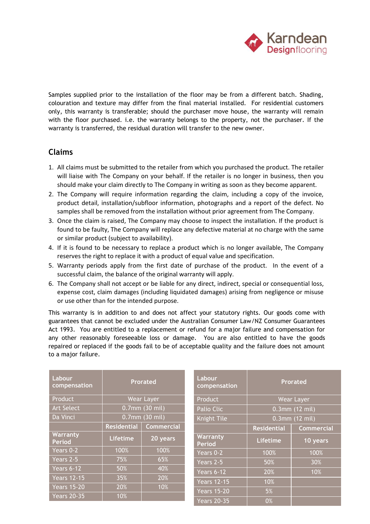

Samples supplied prior to the installation of the floor may be from a different batch. Shading, colouration and texture may differ from the final material installed. For residential customers only, this warranty is transferable; should the purchaser move house, the warranty will remain with the floor purchased. i.e. the warranty belongs to the property, not the purchaser. If the warranty is transferred, the residual duration will transfer to the new owner.

## **Claims**

- 1. All claims must be submitted to the retailer from which you purchased the product. The retailer will liaise with The Company on your behalf. If the retailer is no longer in business, then you should make your claim directly to The Company in writing as soon as they become apparent.
- 2. The Company will require information regarding the claim, including a copy of the invoice, product detail, installation/subfloor information, photographs and a report of the defect. No samples shall be removed from the installation without prior agreement from The Company.
- 3. Once the claim is raised, The Company may choose to inspect the installation. If the product is found to be faulty, The Company will replace any defective material at no charge with the same or similar product (subject to availability).
- 4. If it is found to be necessary to replace a product which is no longer available, The Company reserves the right to replace it with a product of equal value and specification.
- 5. Warranty periods apply from the first date of purchase of the product. In the event of a successful claim, the balance of the original warranty will apply.
- 6. The Company shall not accept or be liable for any direct, indirect, special or consequential loss, expense cost, claim damages (including liquidated damages) arising from negligence or misuse or use other than for the intended purpose.

This warranty is in addition to and does not affect your statutory rights. Our goods come with guarantees that cannot be excluded under the Australian Consumer Law/NZ Consumer Guarantees Act 1993. You are entitled to a replacement or refund for a major failure and compensation for any other reasonably foreseeable loss or damage. You are also entitled to have the goods repaired or replaced if the goods fail to be of acceptable quality and the failure does not amount to a major failure.

| Labour<br>compensation    | <b>Prorated</b>    |                   | Labour<br>compensation    | <b>Prorated</b>    |                   |
|---------------------------|--------------------|-------------------|---------------------------|--------------------|-------------------|
| Product                   | Wear Layer         |                   | Product                   | Wear Layer         |                   |
| <b>Art Select</b>         | 0.7mm (30 mil)     |                   | Palio Clic                | $0.3$ mm (12 mil)  |                   |
| Da Vinci                  | 0.7mm (30 mil)     |                   | <b>Knight Tile</b>        | $0.3$ mm (12 mil)  |                   |
|                           | <b>Residential</b> | <b>Commercial</b> |                           | <b>Residential</b> | <b>Commercial</b> |
| Warranty<br><b>Period</b> | Lifetime           | 20 years          | Warranty<br><b>Period</b> | <b>Lifetime</b>    | 10 years          |
| Years 0-2                 | 100%               | 100%              | Years 0-2                 | 100%               | 100%              |
| Years 2-5                 | 75%                | 65%               | Years 2-5                 | 50%                | 30%               |
| Years 6-12                | 50%                | 40%               | Years 6-12                | 20%                | 10%               |
| <b>Years 12-15</b>        | 35%                | 20%               | <b>Years 12-15</b>        | 10%                |                   |
| <b>Years 15-20</b>        | 20%                | 10%               | <b>Years 15-20</b>        | 5%                 |                   |
| <b>Years 20-35</b>        | 10%                |                   | <b>Years 20-35</b>        | 0%                 |                   |